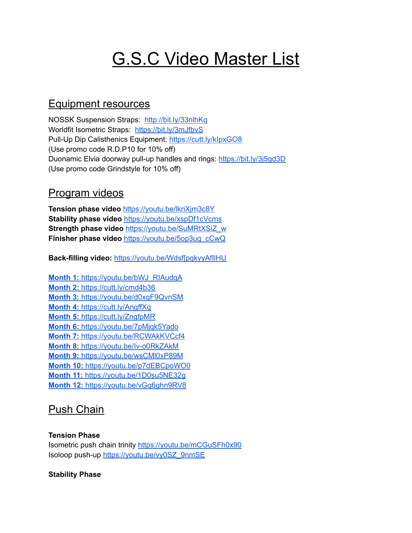# **G.S.C Video Master List**

## Equipment resources

NOSSK Suspension Straps: <http://bit.ly/33nlhKq> Worldfit Isometric Straps: <https://bit.ly/3mJfbvS> Pull-Up Dip Calisthenics Equipment: <https://cutt.ly/kIpxGO8> (Use promo code R.D.P10 for 10% off) Duonamic Elvia doorway pull-up handles and rings: <https://bit.ly/3j5gd3D> (Use promo code Grindstyle for 10% off)

### Program videos

**Tension phase video** <https://youtu.be/lkriXjm3c8Y> **Stability phase video** <https://youtu.be/xspDf1cVcms> **Strength phase video** [https://youtu.be/SuMRtXSiZ\\_w](https://youtu.be/SuMRtXSiZ_w) **Finisher phase video** [https://youtu.be/5op3ug\\_cCwQ](https://youtu.be/5op3ug_cCwQ)

**Back-filling video:** [https://youtu.be/Wdsf\[pqkyyAfIlHU](https://youtu.be/WqkyyAfIlHU)

**Month 1:** [https://youtu.be/bWJ\\_RIAudqA](https://youtu.be/bWJ_RIAudqA) **Month 2:** [https://cutt.ly/cmd4b36](https://cutt.ly/bmd4EO9) **Month 3:** <https://youtu.be/d0xqF9QvnSM> **Month 4:** <https://cutt.ly/AngffXq> **Month 5:** <https://cutt.ly/ZngfpMR> **Month 6:** <https://youtu.be/7pMjqk5Yado> **Month 7:** <https://youtu.be/RCWAkKVCcf4> **Month 8:** <https://youtu.be/Iv-o0RkZAkM> **Month 9:** <https://youtu.be/wsCMl0xP89M> **Month 10:** <https://youtu.be/p7dEBCpoWO0> **Month 11:** <https://youtu.be/1D0su5NE32g> **Month 12:** <https://youtu.be/vGq6ghn9RV8>

# Push Chain

### **Tension Phase**

Isometric push chain trinity <https://youtu.be/mCGuSFh0x90> Isoloop push-up [https://youtu.be/vy0SZ\\_9nmSE](https://youtu.be/vy0SZ_9nmSE)

### **Stability Phase**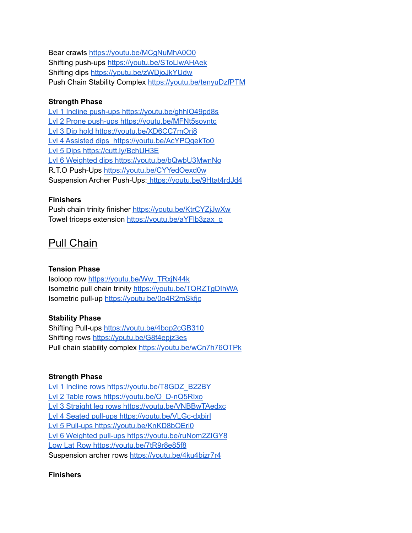Bear crawls <https://youtu.be/MCgNuMhA0O0> Shifting push-ups <https://youtu.be/SToLlwAHAek> Shifting dips <https://youtu.be/zWDjoJkYUdw> Push Chain Stability Complex <https://youtu.be/tenyuDzfPTM>

### **Strength Phase**

Lvl 1 Incline push-ups <https://youtu.be/ghhlO49pd8s> Lvl 2 Prone push-ups [https://youtu.be/MFNt5soyntc](https://youtu.be/ghhlO49pd8s) Lvl 3 Dip hold [https://youtu.be/XD6CC7mOrj8](https://youtu.be/ghhlO49pd8s) Lvl 4 Assisted dips [https://youtu.be/AcYPQgekTo0](https://youtu.be/ghhlO49pd8s) Lvl 5 Dips [https://cutt.ly/BchUH3E](https://youtu.be/ghhlO49pd8s) Lvl 6 Weighted dips [https://youtu.be/bQwbU3MwnNo](https://youtu.be/ghhlO49pd8s) R.T.O Push-Ups <https://youtu.be/CYYedOexd0w> Suspension Archer Push-Ups: <https://youtu.be/9Htat4rdJd4>

### **Finishers**

Push chain trinity finisher <https://youtu.be/KtrCYZjJwXw> Towel triceps extension [https://youtu.be/aYFlb3zax\\_o](https://youtu.be/aYFlb3zax_o)

# Pull Chain

### **Tension Phase**

Isoloop row [https://youtu.be/Ww\\_TRxjN44k](https://youtu.be/Ww_TRxjN44k) Isometric pull chain trinity <https://youtu.be/TQRZTgDIhWA> Isometric pull-up <https://youtu.be/0o4R2mSkfjc>

### **Stability Phase**

Shifting Pull-ups <https://youtu.be/4bgp2cGB310> Shifting rows <https://youtu.be/G8f4epjz3es> Pull chain stability complex <https://youtu.be/wCn7h76OTPk>

### **Strength Phase**

Lvl 1 Incline rows [https://youtu.be/T8GDZ\\_B22BY](https://youtu.be/T8GDZ_B22BY) Lvl 2 Table rows [https://youtu.be/O\\_D-nQ5RIxo](https://youtu.be/T8GDZ_B22BY) Lvl 3 Straight leg rows [https://youtu.be/VNBBwTAedxc](https://youtu.be/T8GDZ_B22BY) Lvl 4 Seated pull-ups [https://youtu.be/VLGc-dxbirI](https://youtu.be/T8GDZ_B22BY) Lvl 5 Pull-ups [https://youtu.be/KnKD8bOEri0](https://youtu.be/T8GDZ_B22BY) Lvl 6 Weighted pull-ups [https://youtu.be/ruNom2ZIGY8](https://youtu.be/T8GDZ_B22BY) Low Lat Row <https://youtu.be/7tR9r8e85f8> Suspension archer rows <https://youtu.be/4ku4bizr7r4>

### **Finishers**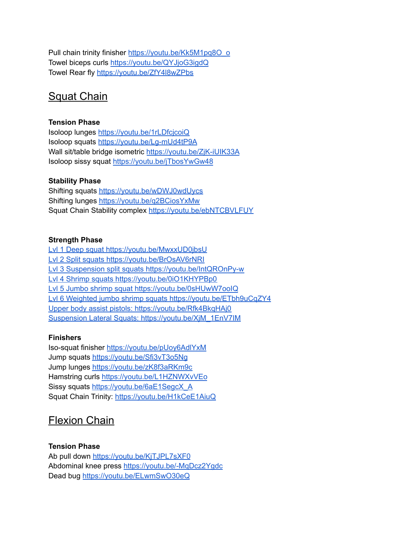Pull chain trinity finisher [https://youtu.be/Kk5M1pq8O\\_o](https://youtu.be/Kk5M1pq8O_o) Towel biceps curls <https://youtu.be/QYJjoG3igdQ> Towel Rear fly <https://youtu.be/ZfY4l8wZPbs>

# Squat Chain

### **Tension Phase**

Isoloop lunges <https://youtu.be/1rLDfcjcoiQ> Isoloop squats <https://youtu.be/Lg-mUd4tP9A> Wall sit/table bridge isometric <https://youtu.be/ZjK-iUIK33A> Isoloop sissy squat <https://youtu.be/jTbosYwGw48>

### **Stability Phase**

Shifting squats <https://youtu.be/wDWJ0wdUycs> Shifting lunges <https://youtu.be/q2BCiosYxMw> Squat Chain Stability complex <https://youtu.be/ebNTCBVLFUY>

### **Strength Phase**

Lvl 1 Deep squat <https://youtu.be/MwxxUD0jbsU> Lvl 2 Split squats [https://youtu.be/BrOsAV6rNRI](https://youtu.be/MwxxUD0jbsU) Lvl 3 Suspension split squats [https://youtu.be/IntQROnPy-w](https://youtu.be/MwxxUD0jbsU) Lvl 4 Shrimp squats [https://youtu.be/0iO1KHYPBp0](https://youtu.be/MwxxUD0jbsU) Lvl 5 Jumbo shrimp squat [https://youtu.be/0sHUwW7ooIQ](https://youtu.be/MwxxUD0jbsU) Lvl 6 Weighted jumbo shrimp squats <https://youtu.be/ETbh9uCqZY4> Upper body assist pistols: <https://youtu.be/Rfk4BkqHAj0> Suspension Lateral Squats: [https://youtu.be/XjM\\_1EnV7IM](https://youtu.be/XjM_1EnV7IM)

### **Finishers**

Iso-squat finisher <https://youtu.be/pUoy6AdlYxM> Jump squats <https://youtu.be/Sfi3vT3o5Ng> Jump lunges <https://youtu.be/zK8f3aRKm9c> Hamstring curls <https://youtu.be/L1HZNWXvVEo> Sissy squats [https://youtu.be/6aE1SegcX\\_A](https://youtu.be/6aE1SegcX_A) Squat Chain Trinity: <https://youtu.be/H1kCeE1AiuQ>

# Flexion Chain

### **Tension Phase**

Ab pull down <https://youtu.be/KjTJPL7sXF0> Abdominal knee press <https://youtu.be/-MqDcz2Ygdc> Dead bug <https://youtu.be/ELwmSwO30eQ>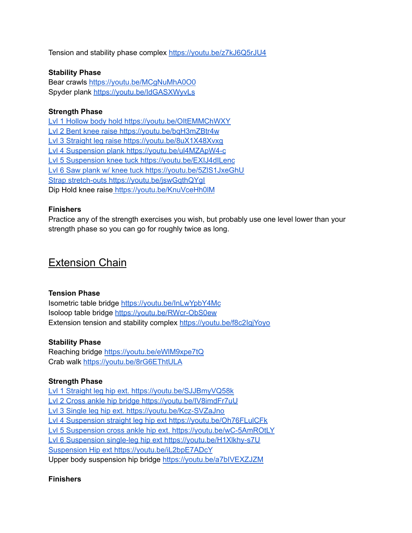Tension and stability phase complex <https://youtu.be/z7kJ6Q5rJU4>

### **Stability Phase**

Bear crawls <https://youtu.be/MCgNuMhA0O0> Spyder plank <https://youtu.be/IdGASXWyvLs>

### **Strength Phase**

Lvl 1 Hollow body hold <https://youtu.be/OItEMMChWXY> Lvl 2 Bent knee raise <https://youtu.be/bqH3mZBtr4w> Lvl 3 Straight leg raise <https://youtu.be/8uX1X48Xvxg> Lvl 4 Suspension plank <https://youtu.be/ul4MZApW4-c> Lvl 5 Suspension knee tuck <https://youtu.be/EXIJ4dILenc> Lvl 6 Saw plank w/ knee tuck <https://youtu.be/5ZlS1JxeGhU> Strap stretch-outs <https://youtu.be/jswGqthQYgI> Dip Hold knee raise <https://youtu.be/KnuVceHh0lM>

#### **Finishers**

Practice any of the strength exercises you wish, but probably use one level lower than your strength phase so you can go for roughly twice as long.

### Extension Chain

### **Tension Phase**

Isometric table bridge <https://youtu.be/InLwYpbY4Mc> Isoloop table bridge <https://youtu.be/RWcr-ObS0ew> Extension tension and stability complex <https://youtu.be/f8c2IgjYoyo>

### **Stability Phase**

Reaching bridge <https://youtu.be/eWlM9xpe7tQ> Crab walk <https://youtu.be/8rG6EThtULA>

### **Strength Phase**

Lvl 1 Straight leg hip ext. <https://youtu.be/SJJBmyVQ58k> Lvl 2 Cross ankle hip bridge <https://youtu.be/IV8imdFr7uU> Lvl 3 Single leg hip ext. <https://youtu.be/Kcz-SVZaJno> Lvl 4 Suspension straight leg hip ext <https://youtu.be/Oh76FLulCFk> Lvl 5 Suspension cross ankle hip ext. <https://youtu.be/wC-5AmROtLY> Lvl 6 Suspension single-leg hip ext <https://youtu.be/H1Xlkhy-s7U> Suspension Hip ext <https://youtu.be/iL2bpE7ADcY> Upper body suspension hip bridge <https://youtu.be/a7bIVEXZJZM>

### **Finishers**